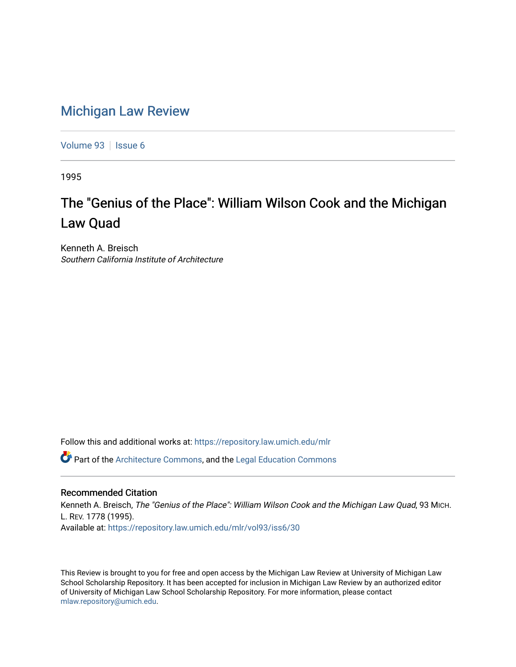## [Michigan Law Review](https://repository.law.umich.edu/mlr)

[Volume 93](https://repository.law.umich.edu/mlr/vol93) | [Issue 6](https://repository.law.umich.edu/mlr/vol93/iss6)

1995

# The "Genius of the Place": William Wilson Cook and the Michigan Law Quad

Kenneth A. Breisch Southern California Institute of Architecture

Follow this and additional works at: [https://repository.law.umich.edu/mlr](https://repository.law.umich.edu/mlr?utm_source=repository.law.umich.edu%2Fmlr%2Fvol93%2Fiss6%2F30&utm_medium=PDF&utm_campaign=PDFCoverPages) 

Part of the [Architecture Commons,](http://network.bepress.com/hgg/discipline/773?utm_source=repository.law.umich.edu%2Fmlr%2Fvol93%2Fiss6%2F30&utm_medium=PDF&utm_campaign=PDFCoverPages) and the [Legal Education Commons](http://network.bepress.com/hgg/discipline/857?utm_source=repository.law.umich.edu%2Fmlr%2Fvol93%2Fiss6%2F30&utm_medium=PDF&utm_campaign=PDFCoverPages) 

#### Recommended Citation

Kenneth A. Breisch, The "Genius of the Place": William Wilson Cook and the Michigan Law Quad, 93 MICH. L. REV. 1778 (1995). Available at: [https://repository.law.umich.edu/mlr/vol93/iss6/30](https://repository.law.umich.edu/mlr/vol93/iss6/30?utm_source=repository.law.umich.edu%2Fmlr%2Fvol93%2Fiss6%2F30&utm_medium=PDF&utm_campaign=PDFCoverPages) 

This Review is brought to you for free and open access by the Michigan Law Review at University of Michigan Law School Scholarship Repository. It has been accepted for inclusion in Michigan Law Review by an authorized editor of University of Michigan Law School Scholarship Repository. For more information, please contact [mlaw.repository@umich.edu.](mailto:mlaw.repository@umich.edu)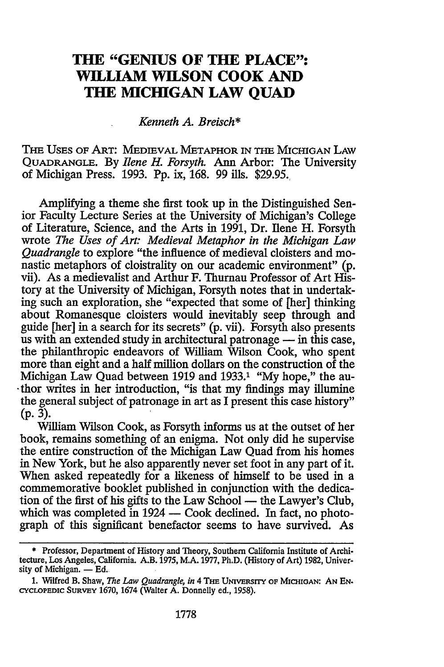### **THE "GENIUS OF THE PLACE": WILLIAM WILSON COOK AND THE MICHIGAN LAW QUAD**

#### *Kenneth A. Breisch\**

THE USES OF ART: MEDIEVAL METAPHOR IN THE MICHIGAN LAW QUADRANGLE. By *Ilene H. Forsyth.* Ann Arbor: The University of Michigan Press. 1993. Pp. ix, 168. 99 ills. \$29.95.,

Amplifying a theme she first took up in the Distinguished Senior Faculty Lecture Series at the University of Michigan's College of Literature, Science, and the Arts in 1991, Dr. Ilene H. Forsyth wrote *The Uses of Art: Medieval Metaphor in the Michigan Law Quadrangle* to explore "the influence of medieval cloisters and monastic metaphors of cloistrality on our academic environment" (p. vii). As a medievalist and Arthur F. Thurnau Professor of Art History at the University of Michigan, Forsyth notes that in undertaking such an exploration, she "expected that some of [her] thinking about Romanesque cloisters would inevitably seep through and guide [her] in a search for its secrets" (p. vii). Forsyth also presents us with an extended study in architectural patronage  $-$  in this case, the philanthropic endeavors of William Wilson Cook, who spent more than eight and a half million dollars on the construction of the Michigan Law Quad between 1919 and 1933.<sup>1</sup> "My hope," the au-. thor writes in her introduction, "is that my findings may illumine the general subject of patronage in art as I present this case history"  $(p. 3)$ .

William Wilson Cook, as Forsyth informs us at the outset of her book, remains something of an enigma. Not only did he supervise the entire construction of the Michigan Law Quad from his homes in New York, but he also apparently never set foot in any part of it. When asked repeatedly for a likeness of himself to be used in a commemorative booklet published in conjunction with the dedication of the first of his gifts to the Law School - the Lawyer's Club, which was completed in 1924 - Cook declined. In fact, no photograph of this significant benefactor seems to have survived. As

<sup>\*</sup> Professor, Department of History and Theory, Southern California Institute of Architecture, Los Angeles, California. A.B. 1975, M.A. 1977, Ph.D. (History of Art) 1982, Univer· sity of Michigan.  $-$  Ed.

<sup>1.</sup> Wilfred B. Shaw, *The Law Quadrangle, in* 4 THE UNIVERSITY OF MICHIGAN: AN EN-CYCLOPEDIC SURVEY 1670, 1674 (Walter A. Donnelly ed., 1958).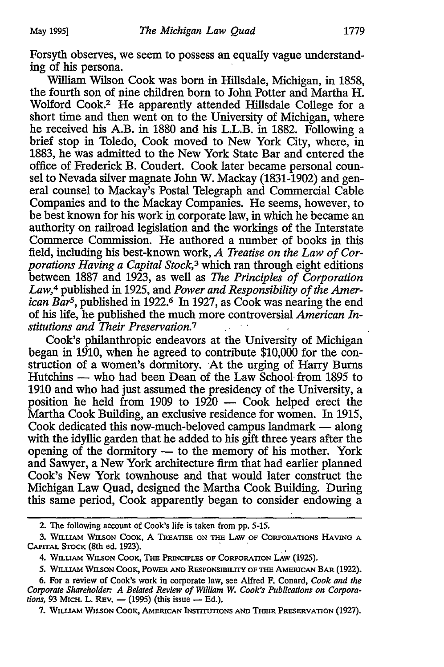Forsyth observes, we seem to possess an equally vague understanding of his persona.

William Wilson Cook was born in Hillsdale, Michigan, in 1858, the fourth son of nine children born to John Potter and Martha H. Wolford Cook.2 He apparently attended Hillsdale College for a short time and then went on to the University of Michigan, where he received his A.B. in 1880 and his L.L.B. in 1882. Following a brief stop in Toledo, Cook moved to New York City, where, in 1883, he was admitted to the New York State Bar and entered the office of Frederick B. Coudert. Cook later became personal counsel to Nevada silver magnate John W. Mackay (1831-1902) and general counsel to Mackay's Postal Telegraph and Commercial Cable Companies and to the Mackay Companies. He seems, however, to be best known for his work in corporate law, in which he became an authority on railroad legislation and the workings of the Interstate Commerce Commission. He authored a number of books in this field, including his best-known work, *A Treatise on the Law of Corporations Having a Capital Stock,* 3 which ran through eight editions between 1887 and 1923, as well as *The Principles of Corporation Law,* 4 published in 1925, and *Power and Responsibility of the American Bar5,* published in 1922.6 In 1927, as Cook was nearing the end of his life, he published the much more controversial *American Institutions and Their Preservation.* <sup>7</sup>

Cook's philanthropic endeavors at the University of Michigan began in 1910, when he agreed to contribute \$10,000 for the construction of a women's dormitory. At the urging of Harry Bums Hutchins — who had been Dean of the Law School from 1895 to 1910 and who had just assumed the presidency of the University, a position he held from 1909 to  $1920 - \text{Cook}$  helped erect the Martha Cook Building, an exclusive residence for women. In 1915, Cook dedicated this now-much-beloved campus landmark  $-$  along with the idyllic garden that he added to his gift three years after the opening of the dormitory  $-$  to the memory of his mother. York and Sawyer, a New York architecture firm that had earlier planned Cook's New York townhouse and that would later construct the Michigan Law Quad, designed the Martha Cook Building. During this same period, Cook apparently began to consider endowing a

- 2. The following account of Cook's life is taken from pp. 5-15.
- 3. WILUAM WILSON COOK, A TREATISE ON THE LAW OF CORPORATIONS HAVING A CAPITAL STOCK (8th ed. 1923).
	- 4. WILLIAM WILSON COOK, THE PRINCIPLES OF CORPORATION LAW (1925).
	- 5. WILLIAM WILSON COOK, POWER AND RESPONSIBILITY OF THE AMERICAN BAR (1922).
- 6. For a review of Cook's work in corporate law, see Alfred F. Conard, *Cook and the Corporate Shareholder: A Belated Review of William W. Cook's Publications on Corporations*, 93 MICH. L. REV. — (1995) (this issue — Ed.).

7. WILUAM WILSON CooK, AMERICAN INSTITUI10NS AND THEIR PRESERVATION (1927).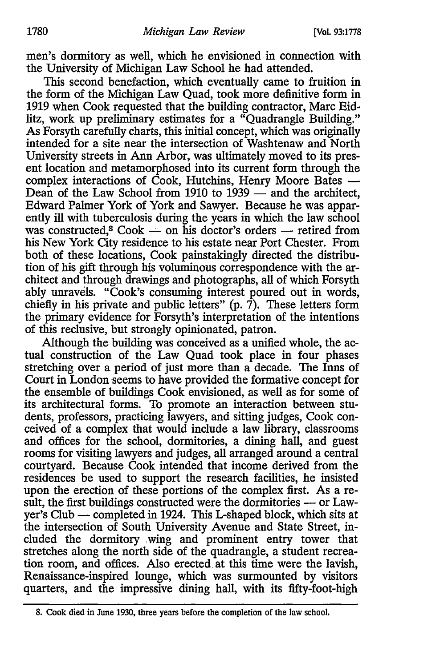men's dormitory as well, which he envisioned in connection with the University of Michigan Law School he had attended.

This second benefaction, which eventually came to fruition in the form of the Michigan Law Quad, took more definitive form in 1919 when Cook requested that the building contractor, Marc Eidlitz, work up preliminary estimates for a "Quadrangle Building." As Forsyth carefully charts, this initial concept, which was originally intended for a site near the intersection of Washtenaw and North University streets in Ann Arbor, was ultimately moved to its present location and metamorphosed into its current form through the complex interactions of Cook, Hutchins, Henry Moore Bates  $-$ Dean of the Law School from 1910 to  $1939 -$  and the architect, Edward Palmer York of York and Sawyer. Because he was apparently ill with tuberculosis during the years in which the law school was constructed,<sup>8</sup> Cook - on his doctor's orders - retired from his New York City residence to his estate near Port Chester. From both of these locations, Cook painstakingly directed the distribution of his gift through his voluminous correspondence with the architect and through drawings and photographs, all of which Forsyth ably unravels. "Cook's consuming interest poured out in words, chiefly in his private and public letters"  $(p, \bar{T})$ . These letters form the primary evidence for Forsyth's interpretation of the intentions of this reclusive, but strongly opinionated, patron.

Although the building was conceived as a unified whole, the actual construction of the Law Quad took place in four phases stretching over a period of just more than a decade. The Inns of Court in London seems to have provided the formative concept for the ensemble of buildings Cook envisioned, as well as for some of its architectural forms. To promote an interaction between students, professors, practicing lawyers, and sitting judges, Cook conceived of a complex that would include a law library, classrooms and offices for the school, dormitories, a dining hall, and guest rooms for visiting lawyers and judges, all arranged around a central courtyard. Because Cook intended that income derived from the residences be used to support the research facilities, he insisted upon the erection of these portions of the complex first. As a result, the first buildings constructed were the dormitories - or Lawyer's Club — completed in 1924. This L-shaped block, which sits at the intersection of South University Avenue and State Street, included the dormitory .wing and prominent entry tower that stretches along the north side of the quadrangle, a student recreation room, and offices. Also erected. at this time were the lavish, Renaissance-inspired lounge, which was surmounted by visitors quarters, and the impressive dining hall, with its fifty-foot-high

<sup>8.</sup> Cook died in June 1930, three years before the completion of the law school.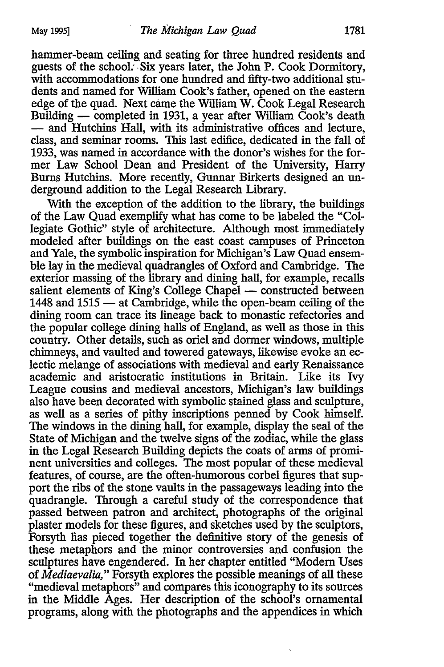hammer-beam ceiling and seating for three hundred residents and guests of the school. Six years later, the John P. Cook Dormitory, with accommodations for one hundred and fifty-two additional students and named for William Cook's father, opened on the eastern edge of the quad. Next came the William W. Cook Legal Research Building — completed in 1931, a year after William Cook's death - and Hutchins Hall, with its administrative offices and lecture, class, and seminar rooms. This last edifice, dedicated in the fall of 1933, was named in accordance with the donor's wishes for the former Law School Dean and President of the University, Harry Burns Hutchins. More recently, Gunnar Birkerts designed an underground addition to the Legal Research Library.

With the exception of the addition to the library, the buildings of the Law Quad exemplify what has come to be labeled the "Collegiate Gothic" style of architecture. Although most immediately modeled after buildings on the east coast campuses of Princeton and Yale, the symbolic inspiration for Michigan's Law Quad ensemble lay in the medieval quadrangles of Oxford and Cambridge. The exterior massing of the library and dining hall, for example, recalls salient elements of King's College Chapel - constructed between 1448 and 1515 - at Cambridge, while the open-beam ceiling of the dining room can trace its lineage back to monastic refectories and the popular college dining halls of England, as well as those in this country. Other details, such as oriel and dormer windows, multiple chimneys, and vaulted and towered gateways, likewise evoke an eclectic melange of associations with medieval and early Renaissance academic and aristocratic institutions in Britain. Like its Ivy League cousins and medieval ancestors, Michigan's law buildings also have been decorated with symbolic stained glass and sculpture, as well as a series of pithy inscriptions penned by Cook himself. The windows in the dining hall, for example, display the seal of the State of Michigan and the twelve signs of the zodiac, while the glass in the Legal Research Building depicts the coats of arms of prominent universities and colleges. The most popular of these medieval features, of course, are the often-humorous corbel figures that support the ribs of the stone vaults in the passageways leading into the quadrangle. Through a careful study of the correspondence that passed between patron and architect, photographs of the original plaster models for these figures, and sketches used by the sculptors, Forsyth lias pieced together the definitive story of the genesis of these metaphors and the minor controversies and confusion the sculptures have engendered. In her chapter entitled "Modem Uses of *Mediaevalia,"* Forsyth explores the possible meanings of all these "medieval metaphors" and compares this iconography to its sources in the Middle Ages. Her description of the school's ornamental programs, along with the photographs and the appendices in which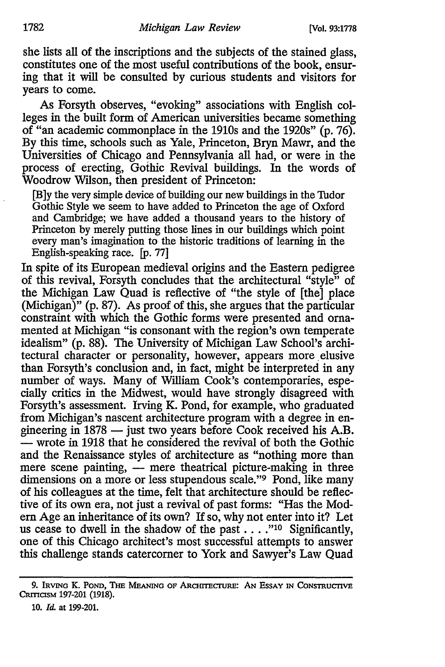she lists all of the inscriptions and the subjects of the stained glass, constitutes one of the most useful contributions of the book, ensuring that it will be consulted by curious students and visitors for years to come.

As Forsyth observes, "evoking" associations with English colleges in the built form of American universities became something of "an academic commonplace in the 1910s and the 1920s" (p. 76). By this time, schools such as Yale, Princeton, Bryn Mawr, and the Universities of Chicago and Pennsylvania all had, or were in the process of erecting, Gothic Revival buildings. In the words of Woodrow Wilson, then president of Princeton:

[B]y the very simple device of building our new buildings in the Tudor Gothic Style we seem to have added to Princeton the age of Oxford and Cambridge; we have added a thousand years to the history of Princeton by merely putting those lines in our buildings which point every man's imagination to the historic traditions of learning in the English-speaking race. [p. 77]

In spite of its European medieval origins and the Eastern pedigree of this revival, Forsyth concludes that the architectural "style" of the Michigan Law Quad is reflective of "the style of [the] place (Michigan)" (p. 87). As proof of this, she argues that the particular constraint with which the Gothic forms were presented and ornamented at Michigan "is consonant with the region's own temperate idealism" (p. 88). The University of Michigan Law School's architectural character or personality, however, appears more elusive than Forsyth's conclusion and, in fact, might be interpreted in any number of ways. Many of William Cook's contemporaries, especially critics in the Midwest, would have strongly disagreed with Forsyth's assessment. Irving K. Pond, for example, who graduated from Michigan's nascent architecture program with a degree in engineering in 1878 - just two years before Cook received his A.B. - wrote in 1918 that he considered the revival of both the Gothic and the Renaissance styles of architecture as "nothing more than mere scene painting, - mere theatrical picture-making in three dimensions on a more or less stupendous scale."<sup>9</sup> Pond, like many of his colleagues at the time, felt that architecture should be reflective of its own era, not just a revival of past forms: "Has the Modem Age an inheritance of its own? If so, why not enter into it? Let us cease to dwell in the shadow of the past  $\dots$ ."<sup>10</sup> Significantly, one of this Chicago architect's most successful attempts to answer this challenge stands catercorner to York and Sawyer's Law Quad

<sup>9.</sup> IRVING K. POND, THE MEANING OF ARCHITECTURE: AN ESSAY IN CONSTRUCTIVE CRITICISM 197-201 (1918).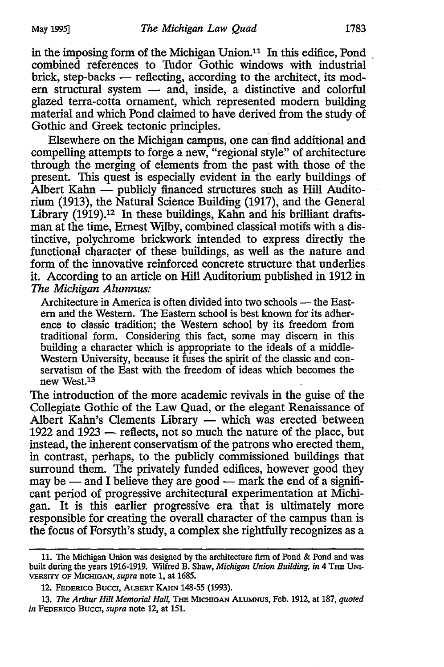in the imposing form of the Michigan Union.<sup>11</sup> In this edifice, Pond combined references to Tudor Gothic windows with industrial brick, step-backs  $-$  reflecting, according to the architect, its mod $ern$  structural system  $-$  and, inside, a distinctive and colorful glazed terra-cotta ornament, which represented modem building material and which Pond claimed to have derived from the study of Gothic and Greek tectonic principles.

Elsewhere on the Michigan campus, one can find additional and compelling attempts to forge a new, "regional style" of architecture through the merging of elements from the past with those of the present. This quest is especially evident in the early buildings of Albert Kahn  $\rightharpoonup$  publicly financed structures such as Hill Auditorium (1913), the Natural Science Building (1917), and the General Library (1919).<sup>12</sup> In these buildings, Kahn and his brilliant draftsman at the time, Ernest Wilby, combined classical motifs with a distinctive, polychrome brickwork intended to express directly the functional character of these buildings, as well as the nature and form of the innovative reinforced concrete structure that underlies it. According to an article on Hill Auditorium published in 1912 in *The Michigan Alumnus:* 

Architecture in America is often divided into two schools — the Eastern and the Western. The Eastern school is best known for its adherence to classic tradition; the Western school by its freedom from traditional form. Considering this fact, some may discern in this building a character which is appropriate to the ideals of a middle-Western University, because it fuses the spirit of the classic and conservatism of the East with the freedom of ideas which becomes the new West.13

The introduction of the more academic revivals in the guise of the Collegiate Gothic of the Law Quad, or the elegant Renaissance of Albert Kahn's Clements Library - which was erected between 1922 and 1923  $-$  reflects, not so much the nature of the place, but instead, the inherent conservatism of the patrons who erected them, in contrast, perhaps, to the publicly commissioned buildings that surround them. The privately funded edifices, however good they may be  $-$  and I believe they are good  $-$  mark the end of a significant period of progressive architectural experimentation at Michjgan. It is this earlier progressive era that is ultimately more responsible for creating the overall character of the campus than is the focus of Forsyth's study, a complex she rightfully recognizes as a

<sup>11.</sup> The Michigan Union was designed by the architecture firm of Pond & Pond and was built during the years 1916-1919. Wilfred B. Shaw, *Michigan Union Building, in* 4 THE UNI-VERSITY OF MICHIGAN, *supra* note 1, at 1685.

<sup>12.</sup> FEDERICO BUCCI, ALBERT KAHN 148-55 {1993).

<sup>13.</sup> The Arthur Hill Memorial Hall, THE MICHIGAN ALUMNUS, Feb. 1912, at 187, *quoted in* FEDERICO Buco, *supra* note 12, at 151.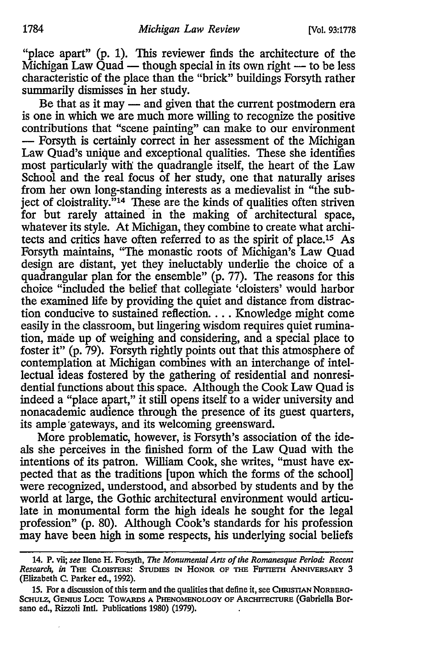"place apart" (p. 1). This reviewer finds the architecture of the Michigan Law  $\ddot{Q}$ uad — though special in its own right — to be less characteristic of the place than the "brick" buildings Forsyth rather summarily dismisses in her study.

Be that as it may - and given that the current postmodern era is one in which we are much more willing to recognize the positive contributions that "scene painting" can make to our environment - Forsyth is certainly correct in her assessment of the Michigan Law Quad's unique and exceptional qualities. These she identifies most particularly with the quadrangle itself, the heart of the Law School and the real focus of her study, one that naturally arises from her own long-standing interests as a medievalist in "the subject of cloistrality."<sup>14</sup> These are the kinds of qualities often striven for but rarely attained in the making of architectural space, whatever its style. At Michigan, they combine to create what architects and critics have often referred to as the spirit of place.<sup>15</sup> As Forsyth maintains, "The monastic roots of Michigan's Law Quad design are distant, yet they ineluctably underlie the choice of a quadrangular plan for the ensemble" (p. 77). The reasons for this choice "included the belief that collegiate 'cloisters' would harbor the examined life by providing the quiet and distance from distraction conducive to sustained reflection .... Knowledge might come easily in the classroom, but lingering wisdom requires quiet rumination, made up of weighing and considering, and a special place to foster it" (p. 79). Forsyth rightly points out that this atmosphere of contemplation at Michigan combines with an interchange of intellectual ideas fostered by the gathering of residential and nonresidential functions about this space. Although the Cook Law Quad is indeed a "place apart," it still opens itself to a wider university and nonacademic audience through the presence of its guest quarters, its ample'gateways, and its welcoming greensward.

More problematic, however, is Forsyth's association of the ideals she perceives in the finished form of the Law Quad with the intentions of its patron. William Cook, she writes, "must have expected that as the traditions [upon which the forms of the school] were recognized, understood, and absorbed by students and by the world at large, the Gothic architectural environment would articulate in monumental form the high ideals he sought for the legal profession" (p. 80). Although Cook's standards for his profession may have been high in some respects, his underlying social beliefs

<sup>14.</sup> P. vii; *see* Ilene H. Forsyth, *The Monumental Arts of the Romanesque Period: Recent Research, in* THE CLOISTERS: STUDIES IN HONOR OF THE FIFTIETH ANNIVERSARY 3 (Elizabeth C. Parker ed., 1992).

<sup>15.</sup> For a discussion of this term and the qualities that define it, see CHRISTIAN NORBERG-SCHULZ, GENIUS LOCI: TOWARDS A PHENOMENOLOGY OF ARCHITECTURE (Gabriella Borsano ed., Rizzoli Intl. Publications 1980) (1979).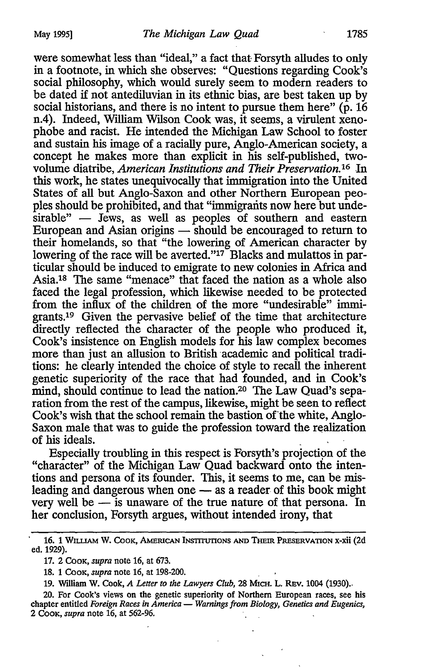were somewhat less than "ideal," a fact that Forsyth alludes to only in a footnote, in which she observes: "Questions regarding Cook's social philosophy, which would surely seem to modem readers to be dated if not antediluvian in its ethnic bias, are best taken up by social historians, and there is no intent to pursue them here"  $(p. 16$ n.4). Indeed, William Wilson Cook was, it seems, a virulent xenophobe and racist. He intended the Michigan Law School to foster and sustain his image of a racially pure, Anglo-American society, a concept he makes more than explicit in his self-published, twovolume diatribe, *American Institutions and Tlieir Preservation. 16* In this work, he states unequivocally that immigration into the United States of all but Anglo-Saxon and other Northern European peoples should be prohibited, and that "immigrants now here but unde $sirable"$  - Jews, as well as peoples of southern and eastern European and Asian origins — should be encouraged to return to their homelands, so that "the lowering of American character by lowering of the race will be averted."<sup>17</sup> Blacks and mulattos in particular should be induced to emigrate to new colonies in Africa and Asia.1s The same "menace" that faced the nation as a whole also faced the legal profession, which likewise needed to be protected from the influx of the children of the more "undesirable" immigrants.19 Given the pervasive belief of the time that architecture directly reflected the character of the people who produced it, Cook's insistence on English models for his law complex becomes more than just an allusion to British academic and political traditions: he clearly intended the choice of style to recall the inherent genetic superiority of the race that had founded, and in Cook's mind, should continue to lead the nation.20 The Law Quad's separation from the rest of the campus, likewise, might be seen to reflect Cook's wish that the school remain the bastion of the white, Anglo-Saxon male that was to guide the profession toward the realization of his ideals. .

Especially troubling in this respect is Forsyth's projection of the "character" of the Michigan Law Quad backward onto the intentions and persona of its founder. This, it seems to me, can be misleading and dangerous when one - as a reader of this book might very well be - is unaware of the true nature of that persona. In her conclusion, Forsyth argues, without intended irony, that

<sup>16. 1</sup> WILLIAM W. COOK, AMERICAN INSTITUTIONS AND THEIR PRESERVATION X-XII (2d ed. 1929).

<sup>17. 2</sup> CooK, *supra* note 16, at 673.

<sup>18. 1</sup> CooK, *supra* note 16, at 198-200.

<sup>19.</sup> William W. Cook, *A Letter to the Lawyers Club,* 28 MICH. L. REv. 1004 (1930) ..

<sup>20.</sup> For Cook's views on the genetic superiority of Northern European races, see his chapter entitled *Foreign Races in America* — *Warnings from Biology, Genetics and Eugenics,* 2 CooK, *supra* note 16, at 562-96.